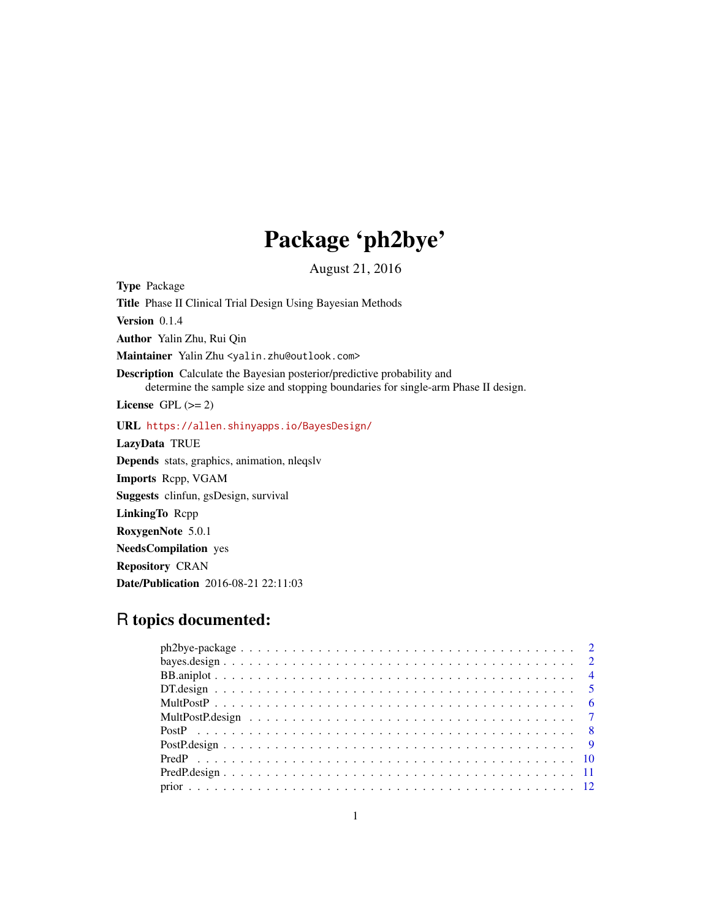# Package 'ph2bye'

August 21, 2016

Type Package Title Phase II Clinical Trial Design Using Bayesian Methods Version 0.1.4 Author Yalin Zhu, Rui Qin Maintainer Yalin Zhu <yalin.zhu@outlook.com> Description Calculate the Bayesian posterior/predictive probability and determine the sample size and stopping boundaries for single-arm Phase II design. License GPL  $(>= 2)$ URL <https://allen.shinyapps.io/BayesDesign/> LazyData TRUE Depends stats, graphics, animation, nleqslv Imports Rcpp, VGAM Suggests clinfun, gsDesign, survival LinkingTo Rcpp RoxygenNote 5.0.1 NeedsCompilation yes Repository CRAN Date/Publication 2016-08-21 22:11:03

# R topics documented: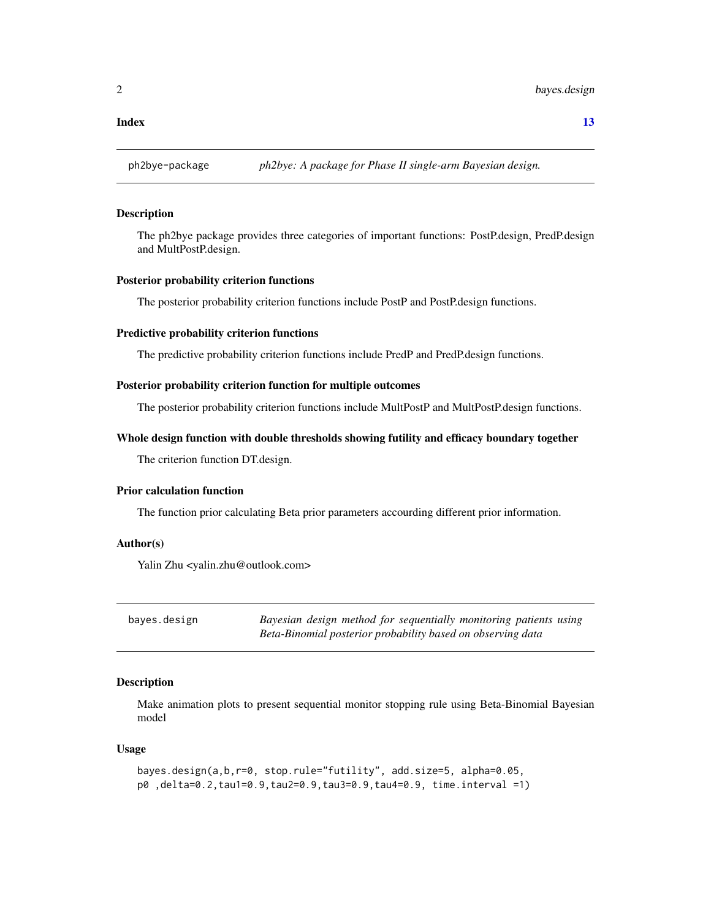#### <span id="page-1-0"></span>**Index** [13](#page-12-0)

ph2bye-package *ph2bye: A package for Phase II single-arm Bayesian design.*

#### **Description**

The ph2bye package provides three categories of important functions: PostP.design, PredP.design and MultPostP.design.

# Posterior probability criterion functions

The posterior probability criterion functions include PostP and PostP.design functions.

#### Predictive probability criterion functions

The predictive probability criterion functions include PredP and PredP.design functions.

#### Posterior probability criterion function for multiple outcomes

The posterior probability criterion functions include MultPostP and MultPostP.design functions.

#### Whole design function with double thresholds showing futility and efficacy boundary together

The criterion function DT.design.

# Prior calculation function

The function prior calculating Beta prior parameters accourding different prior information.

# Author(s)

Yalin Zhu <yalin.zhu@outlook.com>

bayes.design *Bayesian design method for sequentially monitoring patients using Beta-Binomial posterior probability based on observing data*

# Description

Make animation plots to present sequential monitor stopping rule using Beta-Binomial Bayesian model

#### Usage

```
bayes.design(a,b,r=0, stop.rule="futility", add.size=5, alpha=0.05,
p0 ,delta=0.2,tau1=0.9,tau2=0.9,tau3=0.9,tau4=0.9, time.interval =1)
```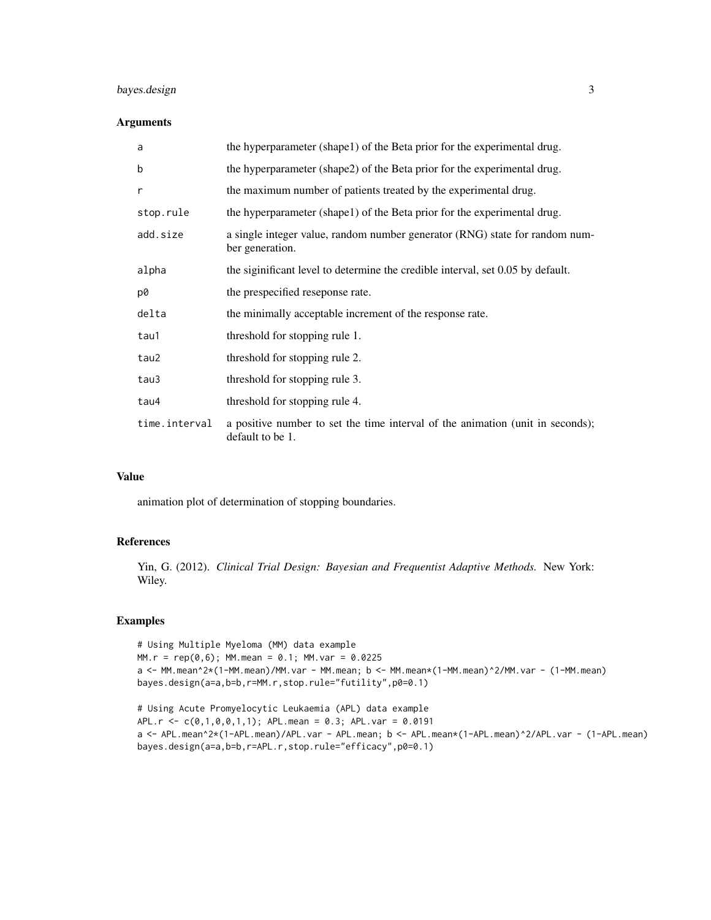# bayes.design 3

# Arguments

| a             | the hyperparameter (shape1) of the Beta prior for the experimental drug.                           |
|---------------|----------------------------------------------------------------------------------------------------|
| b             | the hyperparameter (shape2) of the Beta prior for the experimental drug.                           |
| r             | the maximum number of patients treated by the experimental drug.                                   |
| stop.rule     | the hyperparameter (shape1) of the Beta prior for the experimental drug.                           |
| add.size      | a single integer value, random number generator (RNG) state for random num-<br>ber generation.     |
| alpha         | the significant level to determine the credible interval, set 0.05 by default.                     |
| p0            | the prespecified reseponse rate.                                                                   |
| delta         | the minimally acceptable increment of the response rate.                                           |
| tau1          | threshold for stopping rule 1.                                                                     |
| tau2          | threshold for stopping rule 2.                                                                     |
| tau3          | threshold for stopping rule 3.                                                                     |
| tau4          | threshold for stopping rule 4.                                                                     |
| time.interval | a positive number to set the time interval of the animation (unit in seconds);<br>default to be 1. |

#### Value

animation plot of determination of stopping boundaries.

# References

Yin, G. (2012). *Clinical Trial Design: Bayesian and Frequentist Adaptive Methods.* New York: Wiley.

# Examples

# Using Multiple Myeloma (MM) data example  $MM.r = rep(0,6); MM.mean = 0.1; MM.var = 0.0225$ a <- MM.mean^2\*(1-MM.mean)/MM.var - MM.mean; b <- MM.mean\*(1-MM.mean)^2/MM.var - (1-MM.mean) bayes.design(a=a,b=b,r=MM.r,stop.rule="futility",p0=0.1)

# Using Acute Promyelocytic Leukaemia (APL) data example APL.r <- c(0,1,0,0,1,1); APL.mean = 0.3; APL.var = 0.0191 a <- APL.mean^2\*(1-APL.mean)/APL.var - APL.mean; b <- APL.mean\*(1-APL.mean)^2/APL.var - (1-APL.mean) bayes.design(a=a,b=b,r=APL.r,stop.rule="efficacy",p0=0.1)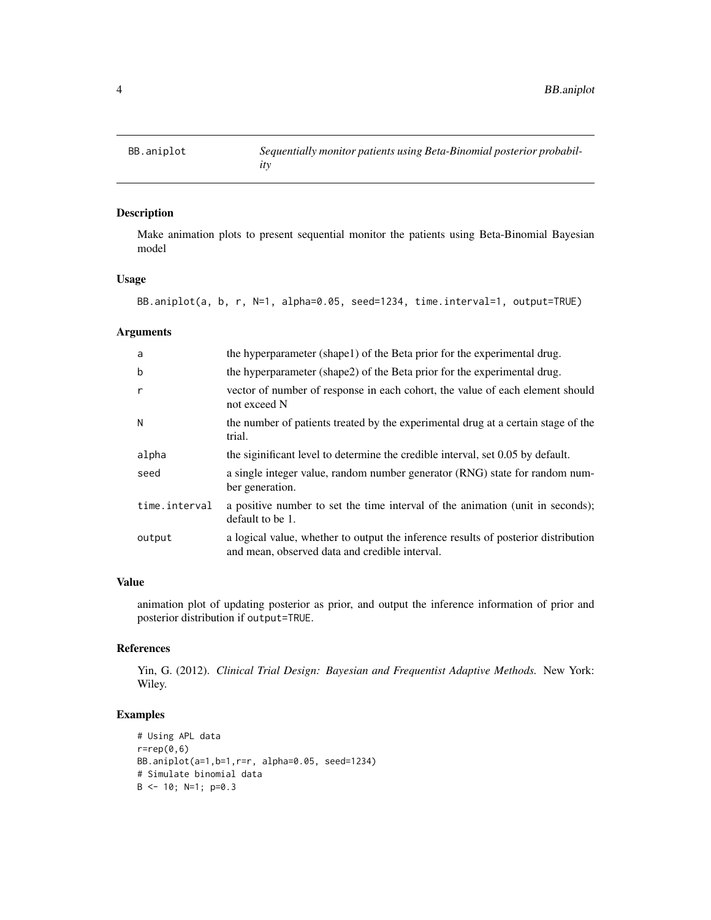Make animation plots to present sequential monitor the patients using Beta-Binomial Bayesian model

# Usage

```
BB.aniplot(a, b, r, N=1, alpha=0.05, seed=1234, time.interval=1, output=TRUE)
```
# Arguments

| a             | the hyperparameter (shape1) of the Beta prior for the experimental drug.                                                             |
|---------------|--------------------------------------------------------------------------------------------------------------------------------------|
| b             | the hyperparameter (shape2) of the Beta prior for the experimental drug.                                                             |
| r             | vector of number of response in each cohort, the value of each element should<br>not exceed N                                        |
| N             | the number of patients treated by the experimental drug at a certain stage of the<br>trial.                                          |
| alpha         | the significant level to determine the credible interval, set 0.05 by default.                                                       |
| seed          | a single integer value, random number generator (RNG) state for random num-<br>ber generation.                                       |
| time.interval | a positive number to set the time interval of the animation (unit in seconds);<br>default to be 1.                                   |
| output        | a logical value, whether to output the inference results of posterior distribution<br>and mean, observed data and credible interval. |

# Value

animation plot of updating posterior as prior, and output the inference information of prior and posterior distribution if output=TRUE.

# References

Yin, G. (2012). *Clinical Trial Design: Bayesian and Frequentist Adaptive Methods.* New York: Wiley.

```
# Using APL data
r=rep(0,6)BB.aniplot(a=1,b=1,r=r, alpha=0.05, seed=1234)
# Simulate binomial data
B \le -10; N=1; p=0.3
```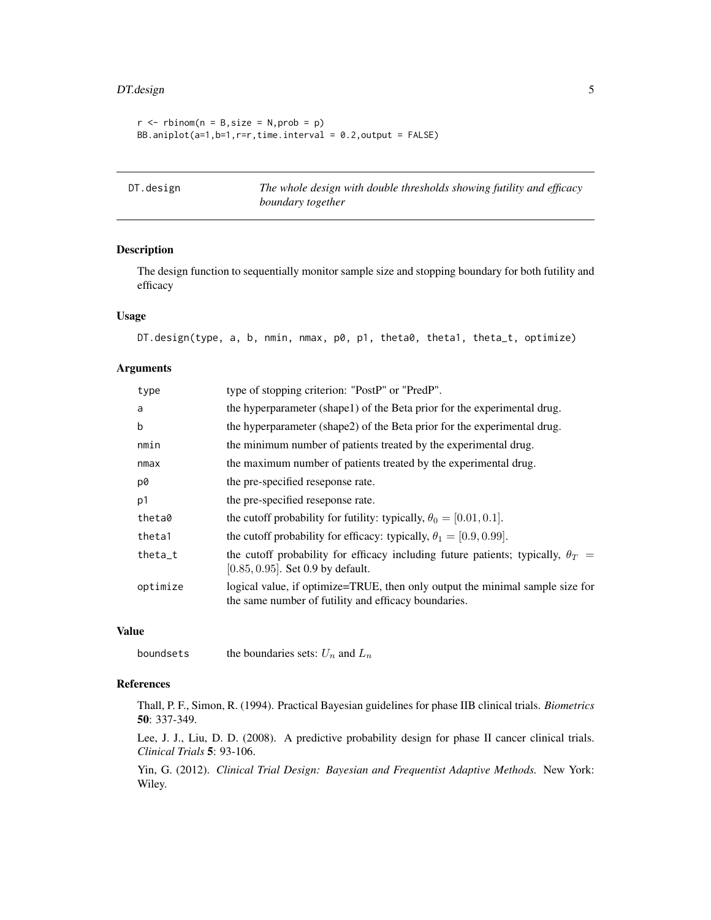# <span id="page-4-0"></span>DT.design 5

```
r \le - rbinom(n = B, size = N, prob = p)
BB.aniplot(a=1,b=1,r=r,time.interval = 0.2, output = FALSE)
```
DT.design *The whole design with double thresholds showing futility and efficacy boundary together*

# Description

The design function to sequentially monitor sample size and stopping boundary for both futility and efficacy

#### Usage

```
DT.design(type, a, b, nmin, nmax, p0, p1, theta0, theta1, theta_t, optimize)
```
#### Arguments

| type      | type of stopping criterion: "PostP" or "PredP".                                                                                       |
|-----------|---------------------------------------------------------------------------------------------------------------------------------------|
| a         | the hyperparameter (shape1) of the Beta prior for the experimental drug.                                                              |
| b         | the hyperparameter (shape2) of the Beta prior for the experimental drug.                                                              |
| nmin      | the minimum number of patients treated by the experimental drug.                                                                      |
| nmax      | the maximum number of patients treated by the experimental drug.                                                                      |
| p0        | the pre-specified reseponse rate.                                                                                                     |
| p1        | the pre-specified reseponse rate.                                                                                                     |
| theta0    | the cutoff probability for futility: typically, $\theta_0 = [0.01, 0.1]$ .                                                            |
| theta1    | the cutoff probability for efficacy: typically, $\theta_1 = [0.9, 0.99]$ .                                                            |
| $theta_t$ | the cutoff probability for efficacy including future patients; typically, $\theta_T =$<br>$[0.85, 0.95]$ . Set 0.9 by default.        |
| optimize  | logical value, if optimize=TRUE, then only output the minimal sample size for<br>the same number of futility and efficacy boundaries. |

# Value

boundsets the boundaries sets:  $U_n$  and  $L_n$ 

# References

Thall, P. F., Simon, R. (1994). Practical Bayesian guidelines for phase IIB clinical trials. *Biometrics* 50: 337-349.

Lee, J. J., Liu, D. D. (2008). A predictive probability design for phase II cancer clinical trials. *Clinical Trials* 5: 93-106.

Yin, G. (2012). *Clinical Trial Design: Bayesian and Frequentist Adaptive Methods.* New York: Wiley.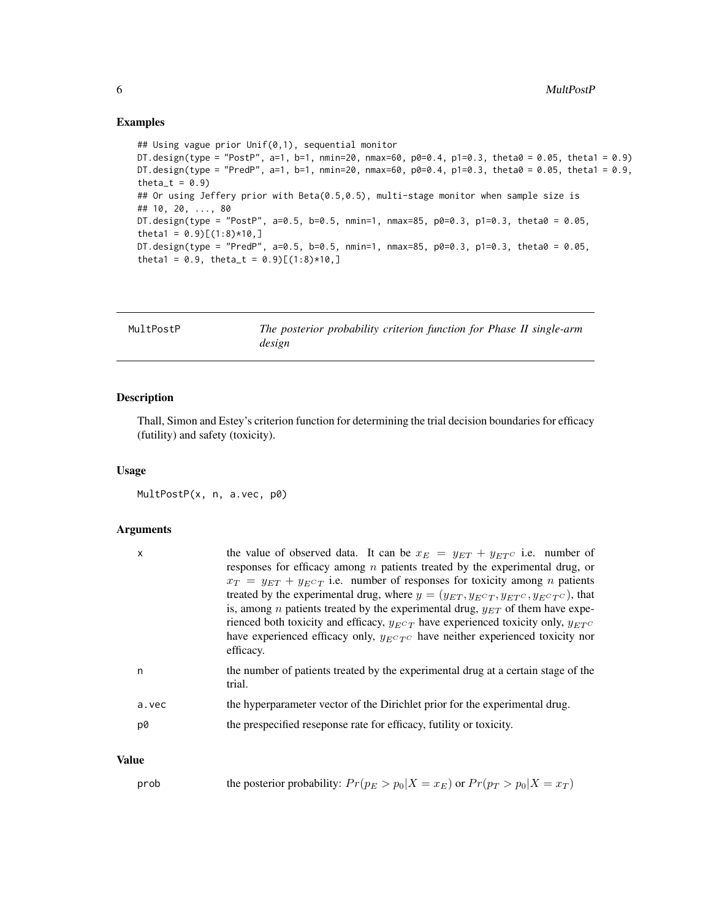#### Examples

```
## Using vague prior Unif(0,1), sequential monitor
DT.design(type = "PostP", a=1, b=1, nmin=20, nmax=60, p0=0.4, p1=0.3, theta0 = 0.05, theta1 = 0.9)
DT.design(type = "PredP", a=1, b=1, nmin=20, nmax=60, p0=0.4, p1=0.3, theta0 = 0.05, theta1 = 0.9,
theta_t = 0.9)
## Or using Jeffery prior with Beta(0.5,0.5), multi-stage monitor when sample size is
## 10, 20, ..., 80
DT.design(type = "PostP", a=0.5, b=0.5, nmin=1, nmax=85, p0=0.3, p1=0.3, theta0 = 0.05,
theta1 = 0.9 [(1:8) *10,]
DT.design(type = "PredP", a=0.5, b=0.5, nmin=1, nmax=85, p0=0.3, p1=0.3, theta0 = 0.05,
theta1 = 0.9, theta_t = 0.9)[(1:8)*10,]
```

| MultPostP | The posterior probability criterion function for Phase II single-arm |
|-----------|----------------------------------------------------------------------|
|           | design                                                               |

#### Description

Thall, Simon and Estey's criterion function for determining the trial decision boundaries for efficacy (futility) and safety (toxicity).

#### Usage

MultPostP(x, n, a.vec, p0)

### Arguments

| $\mathsf{x}$ | the value of observed data. It can be $x_E = y_{ET} + y_{ET}c$ i.e. number of<br>responses for efficacy among $n$ patients treated by the experimental drug, or<br>$x_T = y_{ET} + y_{EC}$ i.e. number of responses for toxicity among <i>n</i> patients<br>treated by the experimental drug, where $y = (y_{ET}, y_{ECT}, y_{ETC}, y_{ECTC})$ , that<br>is, among <i>n</i> patients treated by the experimental drug, $y_{ET}$ of them have expe-<br>rienced both toxicity and efficacy, $y_{E}c_T$ have experienced toxicity only, $y_{E}c_T$<br>have experienced efficacy only, $y_{ECTC}$ have neither experienced toxicity nor<br>efficacy. |
|--------------|--------------------------------------------------------------------------------------------------------------------------------------------------------------------------------------------------------------------------------------------------------------------------------------------------------------------------------------------------------------------------------------------------------------------------------------------------------------------------------------------------------------------------------------------------------------------------------------------------------------------------------------------------|
| n            | the number of patients treated by the experimental drug at a certain stage of the<br>trial.                                                                                                                                                                                                                                                                                                                                                                                                                                                                                                                                                      |
| a.vec        | the hyperparameter vector of the Dirichlet prior for the experimental drug.                                                                                                                                                                                                                                                                                                                                                                                                                                                                                                                                                                      |
| p0           | the prespecified reseponse rate for efficacy, futility or toxicity.                                                                                                                                                                                                                                                                                                                                                                                                                                                                                                                                                                              |

# Value

| prob |  | the posterior probability: $Pr(p_E > p_0   X = x_E)$ or $Pr(p_T > p_0   X = x_T)$ |  |  |  |
|------|--|-----------------------------------------------------------------------------------|--|--|--|
|------|--|-----------------------------------------------------------------------------------|--|--|--|

<span id="page-5-0"></span>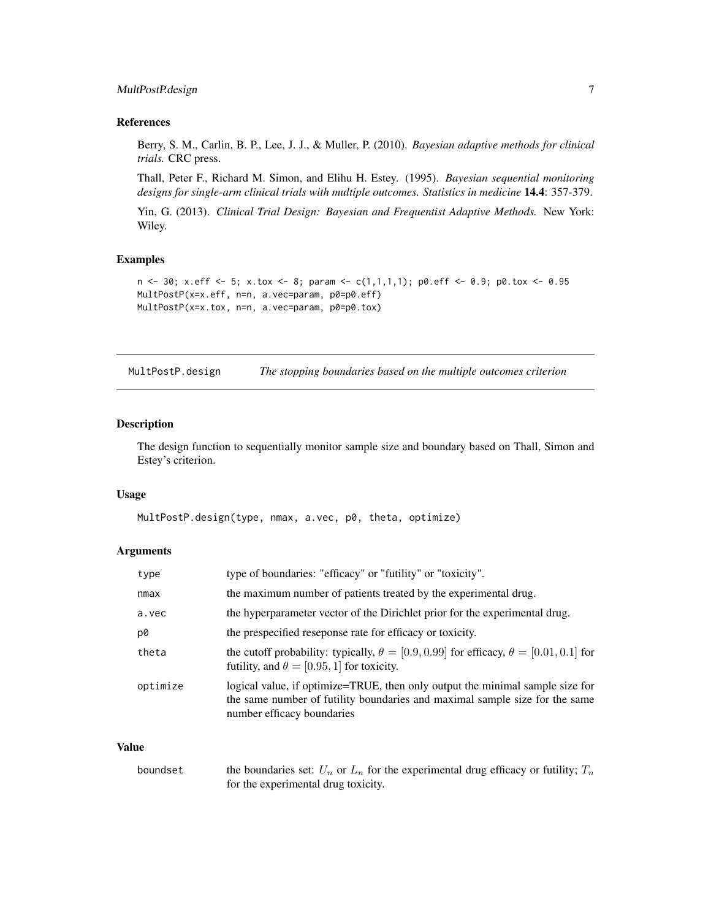# <span id="page-6-0"></span>MultPostP.design 7

# References

Berry, S. M., Carlin, B. P., Lee, J. J., & Muller, P. (2010). *Bayesian adaptive methods for clinical trials.* CRC press.

Thall, Peter F., Richard M. Simon, and Elihu H. Estey. (1995). *Bayesian sequential monitoring designs for single-arm clinical trials with multiple outcomes. Statistics in medicine* 14.4: 357-379.

Yin, G. (2013). *Clinical Trial Design: Bayesian and Frequentist Adaptive Methods.* New York: Wiley.

#### Examples

```
n \leq -30; x.eff \leq -5; x.tox \leq -8; param \leq -c(1,1,1,1); p0.eff \leq -0.9; p0.tox \leq -0.95MultPostP(x=x.eff, n=n, a.vec=param, p0=p0.eff)
MultPostP(x=x.tox, n=n, a.vec=param, p0=p0.tox)
```
MultPostP.design *The stopping boundaries based on the multiple outcomes criterion*

# Description

The design function to sequentially monitor sample size and boundary based on Thall, Simon and Estey's criterion.

#### Usage

MultPostP.design(type, nmax, a.vec, p0, theta, optimize)

#### Arguments

| type of boundaries: "efficacy" or "futility" or "toxicity".                                                                                                                                |
|--------------------------------------------------------------------------------------------------------------------------------------------------------------------------------------------|
| the maximum number of patients treated by the experimental drug.                                                                                                                           |
| the hyperparameter vector of the Dirichlet prior for the experimental drug.                                                                                                                |
| the prespecified reseponse rate for efficacy or toxicity.                                                                                                                                  |
| the cutoff probability: typically, $\theta = [0.9, 0.99]$ for efficacy, $\theta = [0.01, 0.1]$ for<br>futility, and $\theta = [0.95, 1]$ for toxicity.                                     |
| logical value, if optimize=TRUE, then only output the minimal sample size for<br>the same number of futility boundaries and maximal sample size for the same<br>number efficacy boundaries |
|                                                                                                                                                                                            |

# Value

| boundset | the boundaries set: $U_n$ or $L_n$ for the experimental drug efficacy or futility; $T_n$ |
|----------|------------------------------------------------------------------------------------------|
|          | for the experimental drug toxicity.                                                      |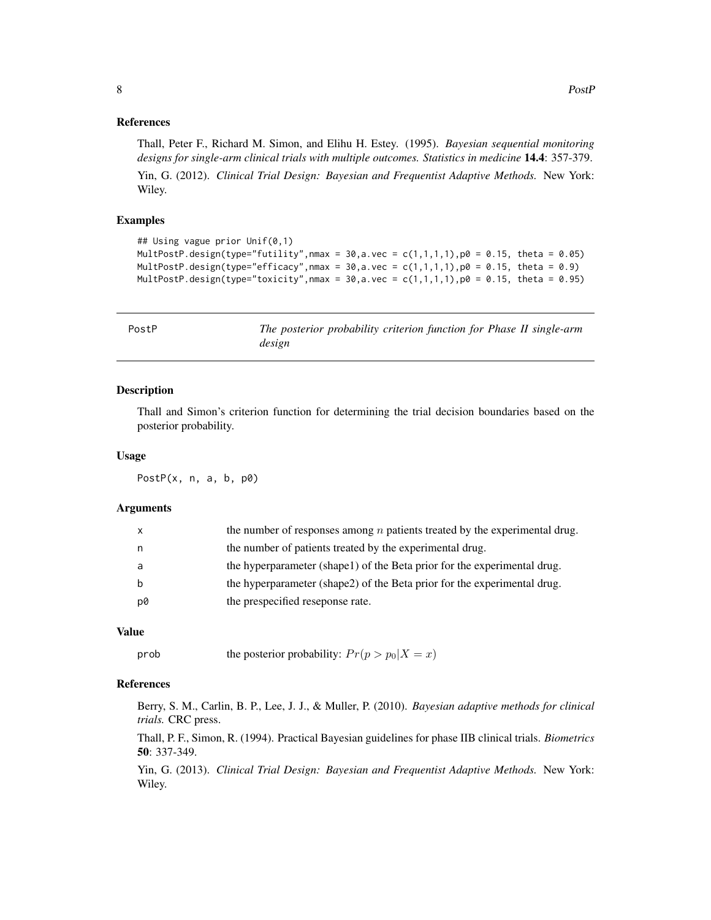# <span id="page-7-0"></span>References

Thall, Peter F., Richard M. Simon, and Elihu H. Estey. (1995). *Bayesian sequential monitoring designs for single-arm clinical trials with multiple outcomes. Statistics in medicine* 14.4: 357-379. Yin, G. (2012). *Clinical Trial Design: Bayesian and Frequentist Adaptive Methods.* New York: Wiley.

#### Examples

```
## Using vague prior Unif(0,1)
MultPostP.design(type="futility", nmax = 30, a.vec = c(1,1,1,1), p0 = 0.15, theta = 0.05)
MultPostP.design(type="efficacy", nmax = 30, a.vec = c(1,1,1,1), p0 = 0.15, theta = 0.9)
MultPostP.design(type="toxicity",nmax = 30,a.vec = c(1,1,1,1),p0 = 0.15, theta = 0.95)
```
PostP *The posterior probability criterion function for Phase II single-arm design*

#### Description

Thall and Simon's criterion function for determining the trial decision boundaries based on the posterior probability.

#### Usage

PostP(x, n, a, b, p0)

#### Arguments

| the number of patients treated by the experimental drug.<br>the hyperparameter (shape1) of the Beta prior for the experimental drug.<br>the hyperparameter (shape2) of the Beta prior for the experimental drug.<br>the prespecified reseponse rate.<br>p0 |  | the number of responses among $n$ patients treated by the experimental drug. |
|------------------------------------------------------------------------------------------------------------------------------------------------------------------------------------------------------------------------------------------------------------|--|------------------------------------------------------------------------------|
|                                                                                                                                                                                                                                                            |  |                                                                              |
|                                                                                                                                                                                                                                                            |  |                                                                              |
|                                                                                                                                                                                                                                                            |  |                                                                              |
|                                                                                                                                                                                                                                                            |  |                                                                              |

# Value

```
prob the posterior probability: Pr(p > p_0 | X = x)
```
# References

Berry, S. M., Carlin, B. P., Lee, J. J., & Muller, P. (2010). *Bayesian adaptive methods for clinical trials.* CRC press.

Thall, P. F., Simon, R. (1994). Practical Bayesian guidelines for phase IIB clinical trials. *Biometrics* 50: 337-349.

Yin, G. (2013). *Clinical Trial Design: Bayesian and Frequentist Adaptive Methods.* New York: Wiley.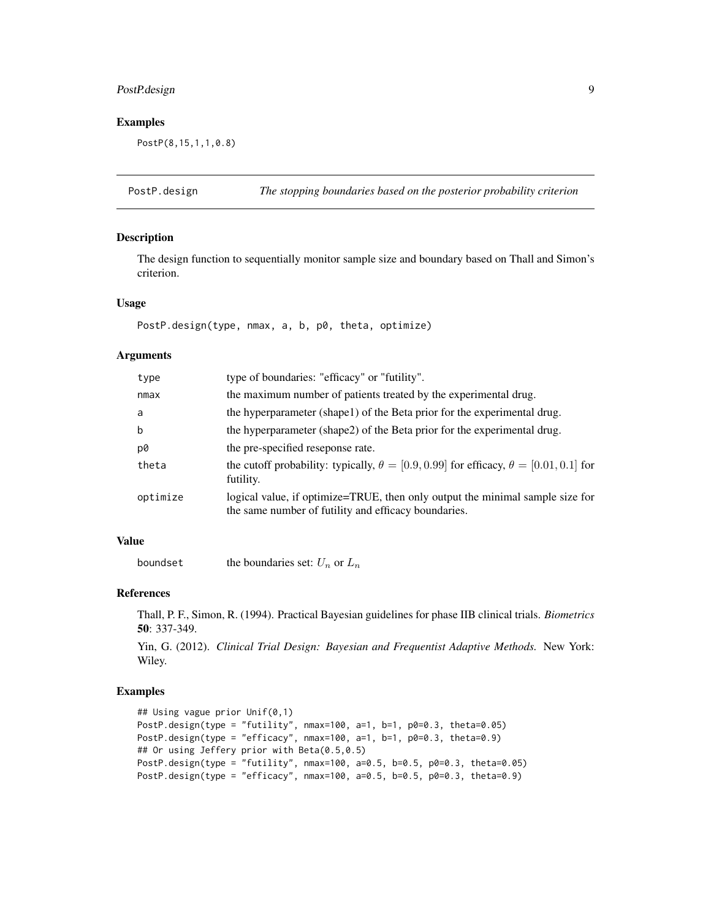# <span id="page-8-0"></span>PostP.design 9

# Examples

PostP(8,15,1,1,0.8)

PostP.design *The stopping boundaries based on the posterior probability criterion*

# Description

The design function to sequentially monitor sample size and boundary based on Thall and Simon's criterion.

#### Usage

PostP.design(type, nmax, a, b, p0, theta, optimize)

### Arguments

| type     | type of boundaries: "efficacy" or "futility".                                                                                         |
|----------|---------------------------------------------------------------------------------------------------------------------------------------|
| nmax     | the maximum number of patients treated by the experimental drug.                                                                      |
| a        | the hyperparameter (shape1) of the Beta prior for the experimental drug.                                                              |
| b        | the hyperparameter (shape2) of the Beta prior for the experimental drug.                                                              |
| p0       | the pre-specified reseponse rate.                                                                                                     |
| theta    | the cutoff probability: typically, $\theta = [0.9, 0.99]$ for efficacy, $\theta = [0.01, 0.1]$ for<br>futility.                       |
| optimize | logical value, if optimize=TRUE, then only output the minimal sample size for<br>the same number of futility and efficacy boundaries. |

# Value

boundset the boundaries set:  $U_n$  or  $L_n$ 

# References

Thall, P. F., Simon, R. (1994). Practical Bayesian guidelines for phase IIB clinical trials. *Biometrics* 50: 337-349.

Yin, G. (2012). *Clinical Trial Design: Bayesian and Frequentist Adaptive Methods.* New York: Wiley.

```
## Using vague prior Unif(0,1)
PostP.design(type = "futility", nmax=100, a=1, b=1, p0=0.3, theta=0.05)
PostP.design(type = "efficacy", nmax=100, a=1, b=1, p0=0.3, theta=0.9)
## Or using Jeffery prior with Beta(0.5,0.5)
PostP.design(type = "futility", nmax=100, a=0.5, b=0.5, p0=0.3, theta=0.05)
PostP.design(type = "efficacy", nmax=100, a=0.5, b=0.5, p0=0.3, theta=0.9)
```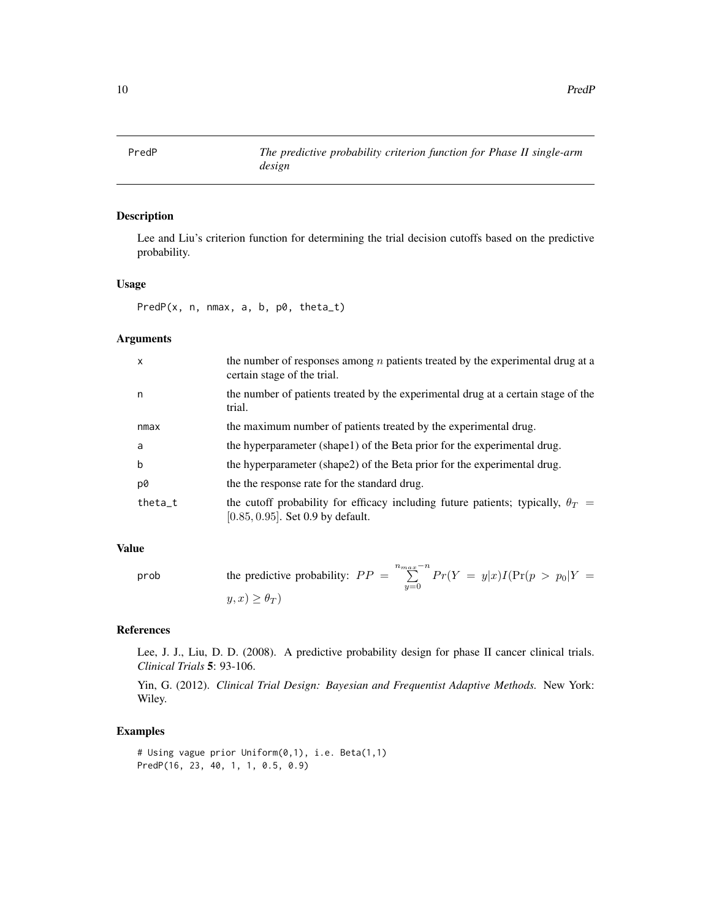<span id="page-9-0"></span>

Lee and Liu's criterion function for determining the trial decision cutoffs based on the predictive probability.

#### Usage

PredP(x, n, nmax, a, b, p0, theta\_t)

# Arguments

| $\mathsf{x}$ | the number of responses among $n$ patients treated by the experimental drug at a<br>certain stage of the trial.                |
|--------------|--------------------------------------------------------------------------------------------------------------------------------|
| n            | the number of patients treated by the experimental drug at a certain stage of the<br>trial.                                    |
| nmax         | the maximum number of patients treated by the experimental drug.                                                               |
| a            | the hyperparameter (shape1) of the Beta prior for the experimental drug.                                                       |
| b            | the hyperparameter (shape2) of the Beta prior for the experimental drug.                                                       |
| p0           | the the response rate for the standard drug.                                                                                   |
| $theta_t$    | the cutoff probability for efficacy including future patients; typically, $\theta_T =$<br>$[0.85, 0.95]$ . Set 0.9 by default. |

# Value

prob the predictive probability: 
$$
PP = \sum_{y=0}^{n_{max}-n} Pr(Y = y|x)I(Pr(p > p_0|Y = y, x) \ge \theta_T)
$$

#### References

Lee, J. J., Liu, D. D. (2008). A predictive probability design for phase II cancer clinical trials. *Clinical Trials* 5: 93-106.

Yin, G. (2012). *Clinical Trial Design: Bayesian and Frequentist Adaptive Methods.* New York: Wiley.

```
# Using vague prior Uniform(0,1), i.e. Beta(1,1)
PredP(16, 23, 40, 1, 1, 0.5, 0.9)
```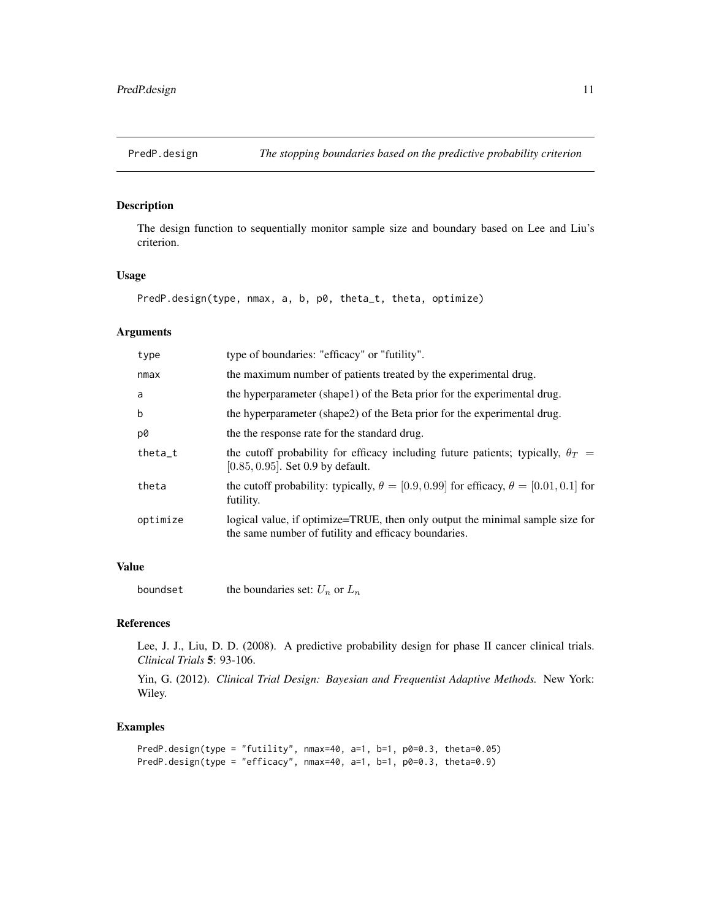<span id="page-10-0"></span>

The design function to sequentially monitor sample size and boundary based on Lee and Liu's criterion.

#### Usage

```
PredP.design(type, nmax, a, b, p0, theta_t, theta, optimize)
```
# Arguments

| type     | type of boundaries: "efficacy" or "futility".                                                                                         |
|----------|---------------------------------------------------------------------------------------------------------------------------------------|
| nmax     | the maximum number of patients treated by the experimental drug.                                                                      |
| a        | the hyperparameter (shape1) of the Beta prior for the experimental drug.                                                              |
| b        | the hyperparameter (shape2) of the Beta prior for the experimental drug.                                                              |
| p0       | the the response rate for the standard drug.                                                                                          |
| theta t  | the cutoff probability for efficacy including future patients; typically, $\theta_T =$<br>$[0.85, 0.95]$ . Set 0.9 by default.        |
| theta    | the cutoff probability: typically, $\theta = [0.9, 0.99]$ for efficacy, $\theta = [0.01, 0.1]$ for<br>futility.                       |
| optimize | logical value, if optimize=TRUE, then only output the minimal sample size for<br>the same number of futility and efficacy boundaries. |

#### Value

boundset the boundaries set:  $U_n$  or  $L_n$ 

# References

Lee, J. J., Liu, D. D. (2008). A predictive probability design for phase II cancer clinical trials. *Clinical Trials* 5: 93-106.

Yin, G. (2012). *Clinical Trial Design: Bayesian and Frequentist Adaptive Methods.* New York: Wiley.

```
PredP.design(type = "futility", nmax=40, a=1, b=1, p0=0.3, theta=0.05)
PredP.design(type = "efficacy", nmax=40, a=1, b=1, p0=0.3, theta=0.9)
```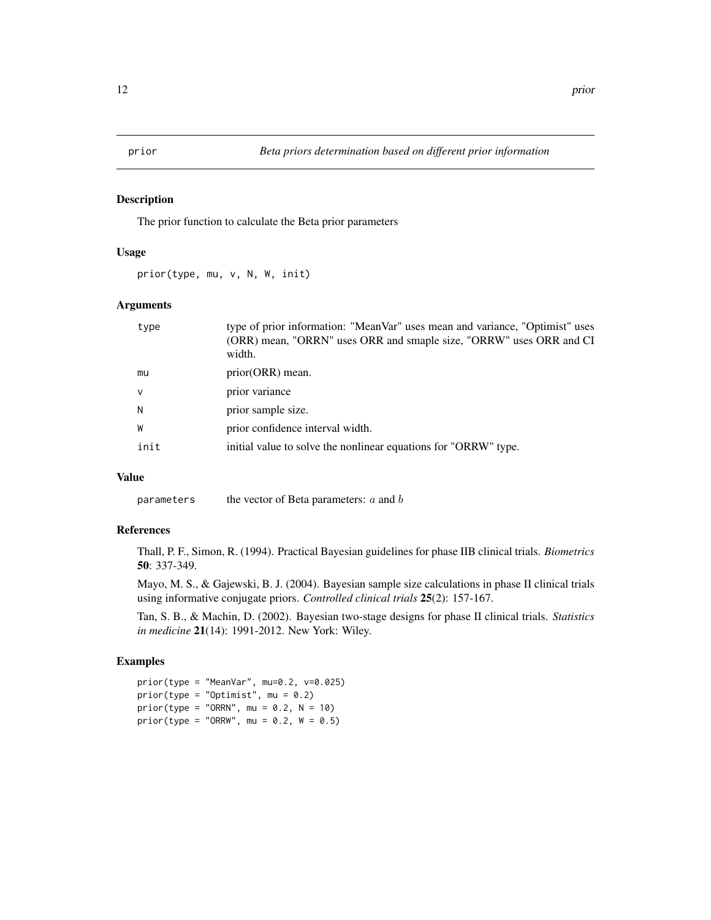<span id="page-11-0"></span>

The prior function to calculate the Beta prior parameters

#### Usage

prior(type, mu, v, N, W, init)

#### Arguments

| type   | type of prior information: "MeanVar" uses mean and variance, "Optimist" uses<br>(ORR) mean, "ORRN" uses ORR and smaple size, "ORRW" uses ORR and CI<br>width. |
|--------|---------------------------------------------------------------------------------------------------------------------------------------------------------------|
| mu     | prior(ORR) mean.                                                                                                                                              |
| $\vee$ | prior variance                                                                                                                                                |
| N      | prior sample size.                                                                                                                                            |
| W      | prior confidence interval width.                                                                                                                              |
| init   | initial value to solve the nonlinear equations for "ORRW" type.                                                                                               |
|        |                                                                                                                                                               |

# Value

parameters the vector of Beta parameters:  $a$  and  $b$ 

# References

Thall, P. F., Simon, R. (1994). Practical Bayesian guidelines for phase IIB clinical trials. *Biometrics* 50: 337-349.

Mayo, M. S., & Gajewski, B. J. (2004). Bayesian sample size calculations in phase II clinical trials using informative conjugate priors. *Controlled clinical trials* 25(2): 157-167.

Tan, S. B., & Machin, D. (2002). Bayesian two-stage designs for phase II clinical trials. *Statistics in medicine* 21(14): 1991-2012. New York: Wiley.

```
prior(type = "MeanVar", mu=0.2, v=0.025)
prior(type = "Optimist", mu = 0.2)prior(type = "ORRN", mu = 0.2, N = 10)
prior(type = "ORRW", mu = 0.2, W = 0.5)
```